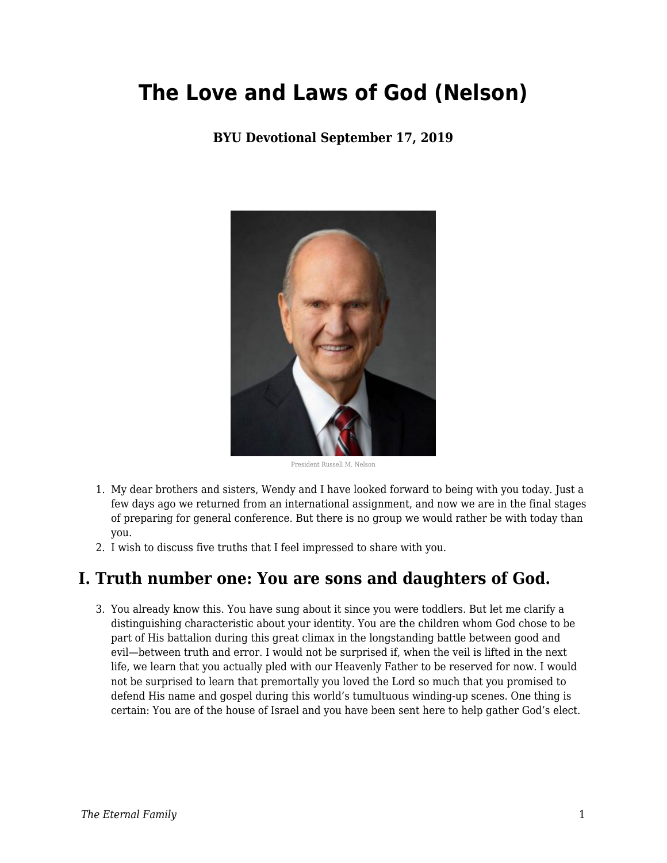# **The Love and Laws of God (Nelson)**

#### **BYU Devotional September 17, 2019**



President Russell M. Nelson

- 1. My dear brothers and sisters, Wendy and I have looked forward to being with you today. Just a few days ago we returned from an international assignment, and now we are in the final stages of preparing for general conference. But there is no group we would rather be with today than you.
- 2. I wish to discuss five truths that I feel impressed to share with you.

### **I. Truth number one: You are sons and daughters of God.**

3. You already know this. You have sung about it since you were toddlers. But let me clarify a distinguishing characteristic about your identity. You are the children whom God chose to be part of His battalion during this great climax in the longstanding battle between good and evil—between truth and error. I would not be surprised if, when the veil is lifted in the next life, we learn that you actually pled with our Heavenly Father to be reserved for now. I would not be surprised to learn that premortally you loved the Lord so much that you promised to defend His name and gospel during this world's tumultuous winding-up scenes. One thing is certain: You are of the house of Israel and you have been sent here to help gather God's elect.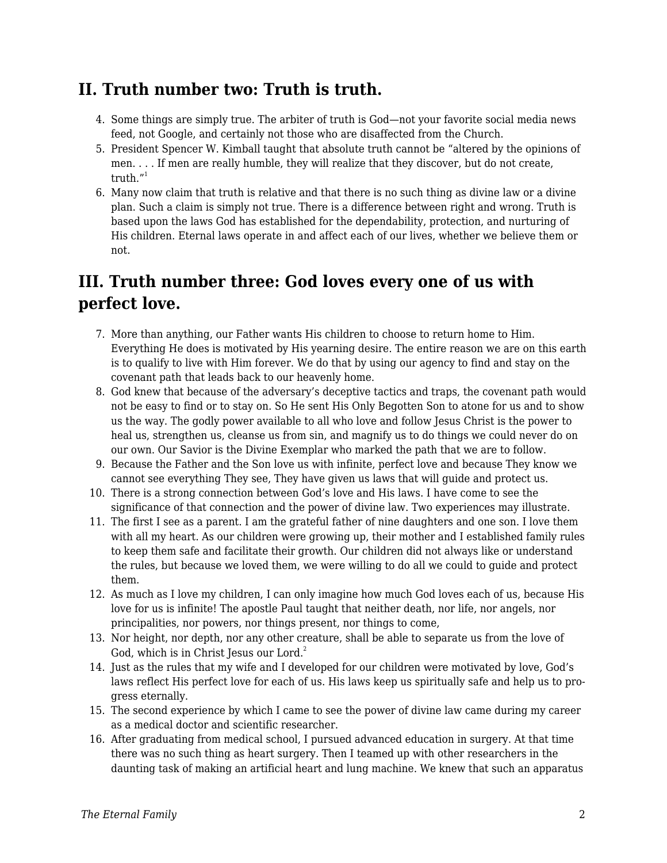## **II. Truth number two: Truth is truth.**

- 4. Some things are simply true. The arbiter of truth is God—not your favorite social media news feed, not Google, and certainly not those who are disaffected from the Church.
- 5. President Spencer W. Kimball taught that absolute truth cannot be "altered by the opinions of men. . . . If men are really humble, they will realize that they discover, but do not create, truth. $^{\prime\prime}$ <sup>1</sup>
- 6. Many now claim that truth is relative and that there is no such thing as divine law or a divine plan. Such a claim is simply not true. There is a difference between right and wrong. Truth is based upon the laws God has established for the dependability, protection, and nurturing of His children. Eternal laws operate in and affect each of our lives, whether we believe them or not.

# **III. Truth number three: God loves every one of us with perfect love.**

- 7. More than anything, our Father wants His children to choose to return home to Him. Everything He does is motivated by His yearning desire. The entire reason we are on this earth is to qualify to live with Him forever. We do that by using our agency to find and stay on the covenant path that leads back to our heavenly home.
- 8. God knew that because of the adversary's deceptive tactics and traps, the covenant path would not be easy to find or to stay on. So He sent His Only Begotten Son to atone for us and to show us the way. The godly power available to all who love and follow Jesus Christ is the power to heal us, strengthen us, cleanse us from sin, and magnify us to do things we could never do on our own. Our Savior is the Divine Exemplar who marked the path that we are to follow.
- 9. Because the Father and the Son love us with infinite, perfect love and because They know we cannot see everything They see, They have given us laws that will guide and protect us.
- 10. There is a strong connection between God's love and His laws. I have come to see the significance of that connection and the power of divine law. Two experiences may illustrate.
- 11. The first I see as a parent. I am the grateful father of nine daughters and one son. I love them with all my heart. As our children were growing up, their mother and I established family rules to keep them safe and facilitate their growth. Our children did not always like or understand the rules, but because we loved them, we were willing to do all we could to guide and protect them.
- 12. As much as I love my children, I can only imagine how much God loves each of us, because His love for us is infinite! The apostle Paul taught that neither death, nor life, nor angels, nor principalities, nor powers, nor things present, nor things to come,
- 13. Nor height, nor depth, nor any other creature, shall be able to separate us from the love of God, which is in Christ Jesus our Lord. $2$
- 14. Just as the rules that my wife and I developed for our children were motivated by love, God's laws reflect His perfect love for each of us. His laws keep us spiritually safe and help us to progress eternally.
- 15. The second experience by which I came to see the power of divine law came during my career as a medical doctor and scientific researcher.
- 16. After graduating from medical school, I pursued advanced education in surgery. At that time there was no such thing as heart surgery. Then I teamed up with other researchers in the daunting task of making an artificial heart and lung machine. We knew that such an apparatus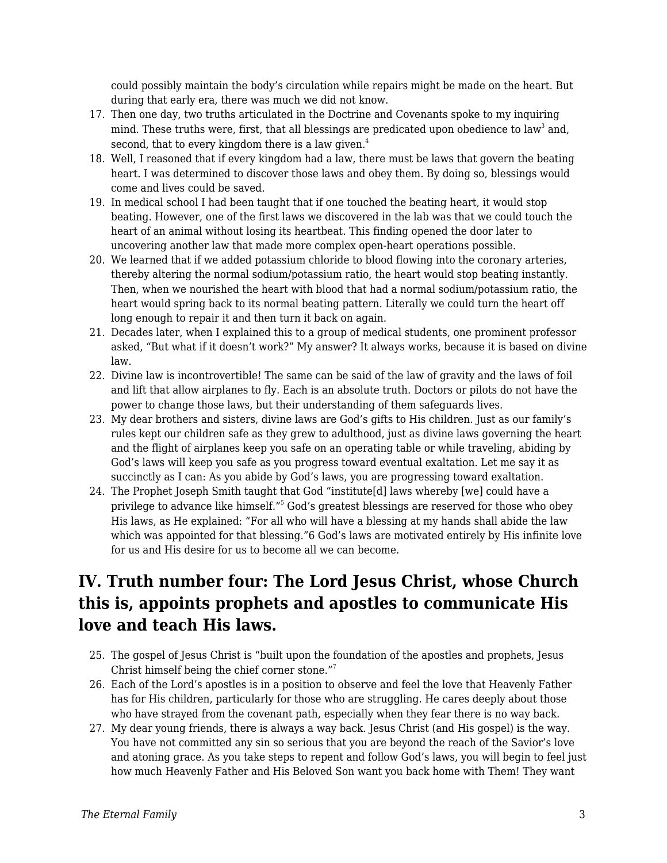could possibly maintain the body's circulation while repairs might be made on the heart. But during that early era, there was much we did not know.

- 17. Then one day, two truths articulated in the Doctrine and Covenants spoke to my inquiring mind. These truths were, first, that all blessings are predicated upon obedience to law $^3$  and, second, that to every kingdom there is a law given.<sup>4</sup>
- 18. Well, I reasoned that if every kingdom had a law, there must be laws that govern the beating heart. I was determined to discover those laws and obey them. By doing so, blessings would come and lives could be saved.
- 19. In medical school I had been taught that if one touched the beating heart, it would stop beating. However, one of the first laws we discovered in the lab was that we could touch the heart of an animal without losing its heartbeat. This finding opened the door later to uncovering another law that made more complex open-heart operations possible.
- 20. We learned that if we added potassium chloride to blood flowing into the coronary arteries, thereby altering the normal sodium/potassium ratio, the heart would stop beating instantly. Then, when we nourished the heart with blood that had a normal sodium/potassium ratio, the heart would spring back to its normal beating pattern. Literally we could turn the heart off long enough to repair it and then turn it back on again.
- 21. Decades later, when I explained this to a group of medical students, one prominent professor asked, "But what if it doesn't work?" My answer? It always works, because it is based on divine law.
- 22. Divine law is incontrovertible! The same can be said of the law of gravity and the laws of foil and lift that allow airplanes to fly. Each is an absolute truth. Doctors or pilots do not have the power to change those laws, but their understanding of them safeguards lives.
- 23. My dear brothers and sisters, divine laws are God's gifts to His children. Just as our family's rules kept our children safe as they grew to adulthood, just as divine laws governing the heart and the flight of airplanes keep you safe on an operating table or while traveling, abiding by God's laws will keep you safe as you progress toward eventual exaltation. Let me say it as succinctly as I can: As you abide by God's laws, you are progressing toward exaltation.
- 24. The Prophet Joseph Smith taught that God "institute[d] laws whereby [we] could have a privilege to advance like himself."<sup>5</sup> God's greatest blessings are reserved for those who obey His laws, as He explained: "For all who will have a blessing at my hands shall abide the law which was appointed for that blessing."6 God's laws are motivated entirely by His infinite love for us and His desire for us to become all we can become.

# **IV. Truth number four: The Lord Jesus Christ, whose Church this is, appoints prophets and apostles to communicate His love and teach His laws.**

- 25. The gospel of Jesus Christ is "built upon the foundation of the apostles and prophets, Jesus Christ himself being the chief corner stone."<sup>7</sup>
- 26. Each of the Lord's apostles is in a position to observe and feel the love that Heavenly Father has for His children, particularly for those who are struggling. He cares deeply about those who have strayed from the covenant path, especially when they fear there is no way back.
- 27. My dear young friends, there is always a way back. Jesus Christ (and His gospel) is the way. You have not committed any sin so serious that you are beyond the reach of the Savior's love and atoning grace. As you take steps to repent and follow God's laws, you will begin to feel just how much Heavenly Father and His Beloved Son want you back home with Them! They want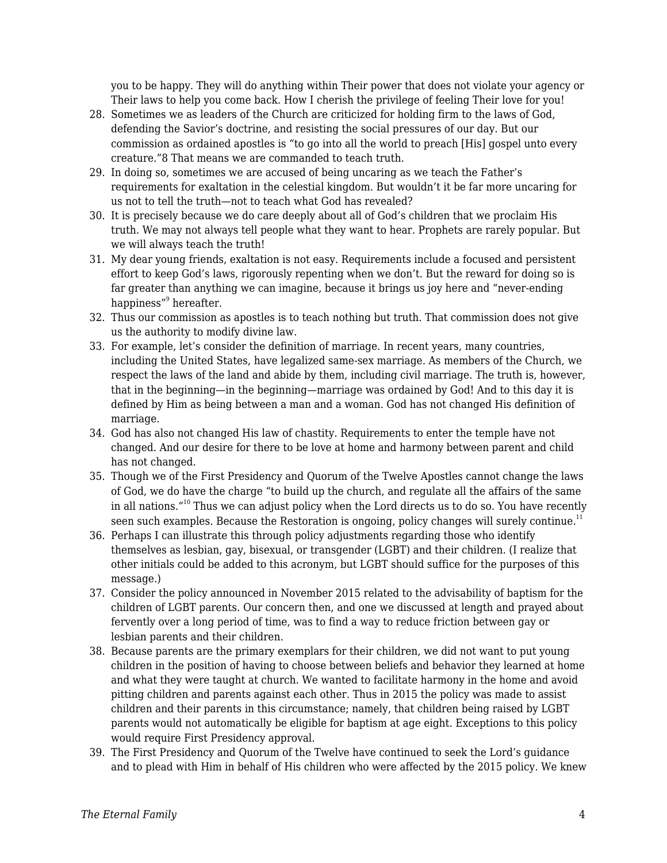you to be happy. They will do anything within Their power that does not violate your agency or Their laws to help you come back. How I cherish the privilege of feeling Their love for you!

- 28. Sometimes we as leaders of the Church are criticized for holding firm to the laws of God, defending the Savior's doctrine, and resisting the social pressures of our day. But our commission as ordained apostles is "to go into all the world to preach [His] gospel unto every creature."8 That means we are commanded to teach truth.
- 29. In doing so, sometimes we are accused of being uncaring as we teach the Father's requirements for exaltation in the celestial kingdom. But wouldn't it be far more uncaring for us not to tell the truth—not to teach what God has revealed?
- 30. It is precisely because we do care deeply about all of God's children that we proclaim His truth. We may not always tell people what they want to hear. Prophets are rarely popular. But we will always teach the truth!
- 31. My dear young friends, exaltation is not easy. Requirements include a focused and persistent effort to keep God's laws, rigorously repenting when we don't. But the reward for doing so is far greater than anything we can imagine, because it brings us joy here and "never-ending happiness"<sup>9</sup> hereafter.
- 32. Thus our commission as apostles is to teach nothing but truth. That commission does not give us the authority to modify divine law.
- 33. For example, let's consider the definition of marriage. In recent years, many countries, including the United States, have legalized same-sex marriage. As members of the Church, we respect the laws of the land and abide by them, including civil marriage. The truth is, however, that in the beginning—in the beginning—marriage was ordained by God! And to this day it is defined by Him as being between a man and a woman. God has not changed His definition of marriage.
- 34. God has also not changed His law of chastity. Requirements to enter the temple have not changed. And our desire for there to be love at home and harmony between parent and child has not changed.
- 35. Though we of the First Presidency and Quorum of the Twelve Apostles cannot change the laws of God, we do have the charge "to build up the church, and regulate all the affairs of the same in all nations."<sup>10</sup> Thus we can adjust policy when the Lord directs us to do so. You have recently seen such examples. Because the Restoration is ongoing, policy changes will surely continue.<sup>11</sup>
- 36. Perhaps I can illustrate this through policy adjustments regarding those who identify themselves as lesbian, gay, bisexual, or transgender (LGBT) and their children. (I realize that other initials could be added to this acronym, but LGBT should suffice for the purposes of this message.)
- 37. Consider the policy announced in November 2015 related to the advisability of baptism for the children of LGBT parents. Our concern then, and one we discussed at length and prayed about fervently over a long period of time, was to find a way to reduce friction between gay or lesbian parents and their children.
- 38. Because parents are the primary exemplars for their children, we did not want to put young children in the position of having to choose between beliefs and behavior they learned at home and what they were taught at church. We wanted to facilitate harmony in the home and avoid pitting children and parents against each other. Thus in 2015 the policy was made to assist children and their parents in this circumstance; namely, that children being raised by LGBT parents would not automatically be eligible for baptism at age eight. Exceptions to this policy would require First Presidency approval.
- 39. The First Presidency and Quorum of the Twelve have continued to seek the Lord's guidance and to plead with Him in behalf of His children who were affected by the 2015 policy. We knew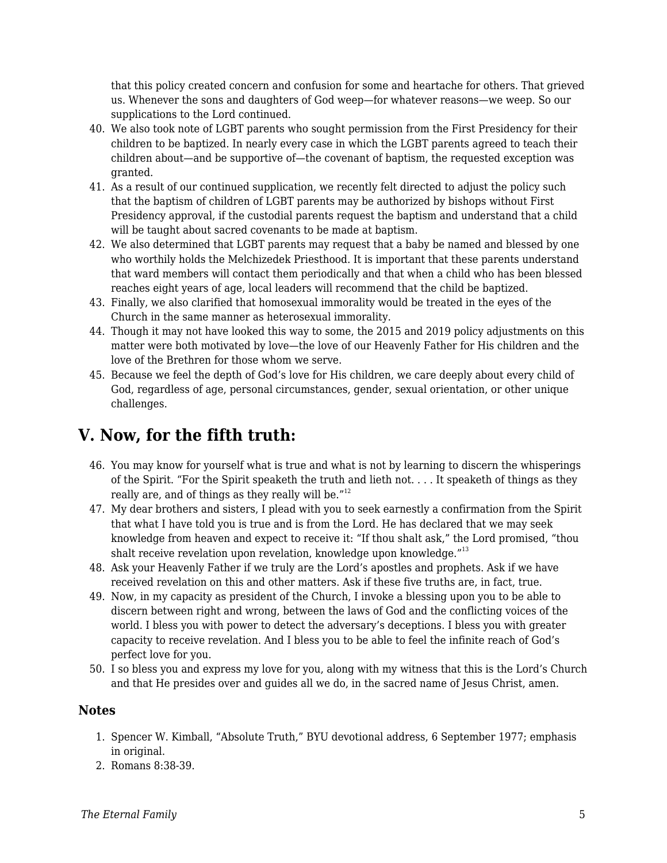that this policy created concern and confusion for some and heartache for others. That grieved us. Whenever the sons and daughters of God weep—for whatever reasons—we weep. So our supplications to the Lord continued.

- 40. We also took note of LGBT parents who sought permission from the First Presidency for their children to be baptized. In nearly every case in which the LGBT parents agreed to teach their children about—and be supportive of—the covenant of baptism, the requested exception was granted.
- 41. As a result of our continued supplication, we recently felt directed to adjust the policy such that the baptism of children of LGBT parents may be authorized by bishops without First Presidency approval, if the custodial parents request the baptism and understand that a child will be taught about sacred covenants to be made at baptism.
- 42. We also determined that LGBT parents may request that a baby be named and blessed by one who worthily holds the Melchizedek Priesthood. It is important that these parents understand that ward members will contact them periodically and that when a child who has been blessed reaches eight years of age, local leaders will recommend that the child be baptized.
- 43. Finally, we also clarified that homosexual immorality would be treated in the eyes of the Church in the same manner as heterosexual immorality.
- 44. Though it may not have looked this way to some, the 2015 and 2019 policy adjustments on this matter were both motivated by love—the love of our Heavenly Father for His children and the love of the Brethren for those whom we serve.
- 45. Because we feel the depth of God's love for His children, we care deeply about every child of God, regardless of age, personal circumstances, gender, sexual orientation, or other unique challenges.

## **V. Now, for the fifth truth:**

- 46. You may know for yourself what is true and what is not by learning to discern the whisperings of the Spirit. "For the Spirit speaketh the truth and lieth not. . . . It speaketh of things as they really are, and of things as they really will be."<sup>12</sup>
- 47. My dear brothers and sisters, I plead with you to seek earnestly a confirmation from the Spirit that what I have told you is true and is from the Lord. He has declared that we may seek knowledge from heaven and expect to receive it: "If thou shalt ask," the Lord promised, "thou shalt receive revelation upon revelation, knowledge upon knowledge."<sup>13</sup>
- 48. Ask your Heavenly Father if we truly are the Lord's apostles and prophets. Ask if we have received revelation on this and other matters. Ask if these five truths are, in fact, true.
- 49. Now, in my capacity as president of the Church, I invoke a blessing upon you to be able to discern between right and wrong, between the laws of God and the conflicting voices of the world. I bless you with power to detect the adversary's deceptions. I bless you with greater capacity to receive revelation. And I bless you to be able to feel the infinite reach of God's perfect love for you.
- 50. I so bless you and express my love for you, along with my witness that this is the Lord's Church and that He presides over and guides all we do, in the sacred name of Jesus Christ, amen.

#### **Notes**

- 1. Spencer W. Kimball, "Absolute Truth," BYU devotional address, 6 September 1977; emphasis in original.
- 2. Romans 8:38-39.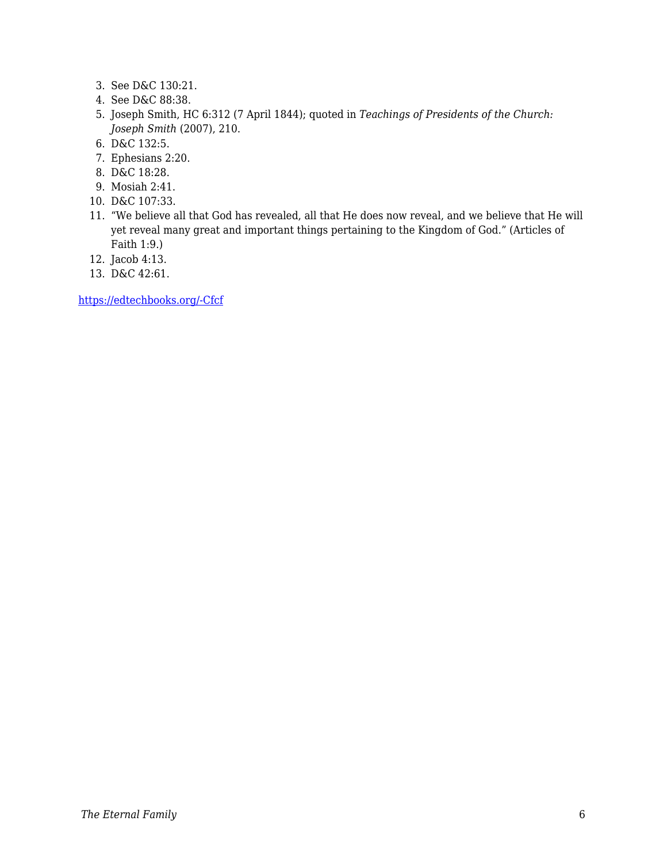- 3. See D&C 130:21.
- 4. See D&C 88:38.
- 5. Joseph Smith, HC 6:312 (7 April 1844); quoted in *Teachings of Presidents of the Church: Joseph Smith* (2007), 210.
- 6. D&C 132:5.
- 7. Ephesians 2:20.
- 8. D&C 18:28.
- 9. Mosiah 2:41.
- 10. D&C 107:33.
- 11. "We believe all that God has revealed, all that He does now reveal, and we believe that He will yet reveal many great and important things pertaining to the Kingdom of God." (Articles of Faith 1:9.)
- 12. Jacob 4:13.
- 13. D&C 42:61.

[https://edtechbooks.org/-Cfcf](https://speeches.byu.edu/talks/russell-m-nelson/love-laws-god/)